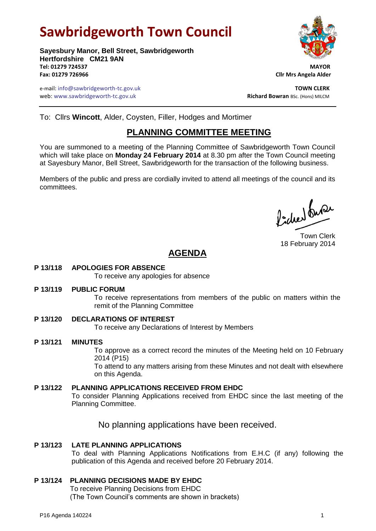# **Sawbridgeworth Town Council**

**Sayesbury Manor, Bell Street, Sawbridgeworth Hertfordshire CM21 9AN Tel: 01279 724537 MAYOR Fax: 01279 726966 Cllr Mrs Angela Alder**

e-mail: info@sawbridgeworth-tc.gov.uk **TOWN CLERK** web: www.sawbridgeworth-tc.gov.uk<br> **Richard Bowran** BSc. (Hons) MILCM

To: Cllrs **Wincott**, Alder, Coysten, Filler, Hodges and Mortimer

## **PLANNING COMMITTEE MEETING**

You are summoned to a meeting of the Planning Committee of Sawbridgeworth Town Council which will take place on **Monday 24 February 2014** at 8.30 pm after the Town Council meeting at Sayesbury Manor, Bell Street, Sawbridgeworth for the transaction of the following business.

Members of the public and press are cordially invited to attend all meetings of the council and its committees.

Picked fune

Town Clerk 18 February 2014

# **AGENDA**

**P 13/118 APOLOGIES FOR ABSENCE**

To receive any apologies for absence

**P 13/119 PUBLIC FORUM**

To receive representations from members of the public on matters within the remit of the Planning Committee

- **P 13/120 DECLARATIONS OF INTEREST** To receive any Declarations of Interest by Members
- **P 13/121 MINUTES** To approve as a correct record the minutes of the Meeting held on 10 February 2014 (P15) To attend to any matters arising from these Minutes and not dealt with elsewhere on this Agenda.
- **P 13/122 PLANNING APPLICATIONS RECEIVED FROM EHDC** To consider Planning Applications received from EHDC since the last meeting of the Planning Committee.

No planning applications have been received.

### **P 13/123 LATE PLANNING APPLICATIONS**

To deal with Planning Applications Notifications from E.H.C (if any) following the publication of this Agenda and received before 20 February 2014.

### **P 13/124 PLANNING DECISIONS MADE BY EHDC**

To receive Planning Decisions from EHDC (The Town Council's comments are shown in brackets)